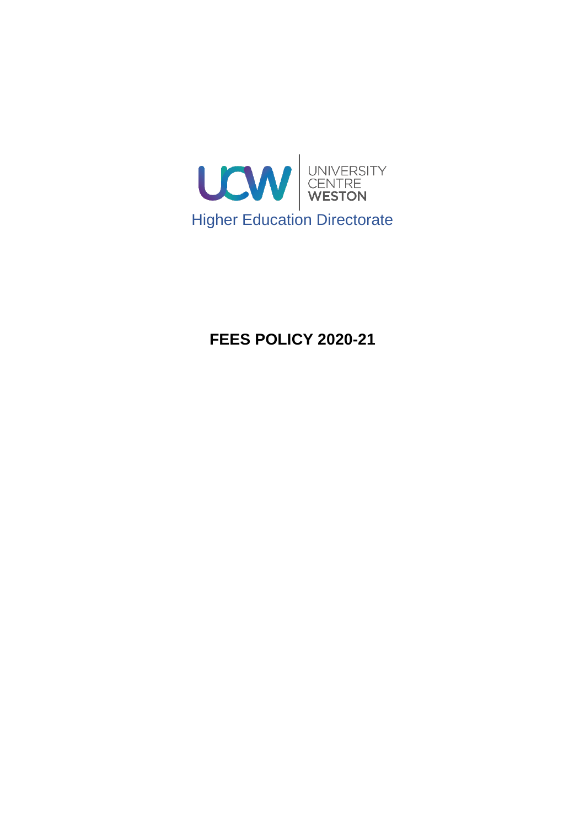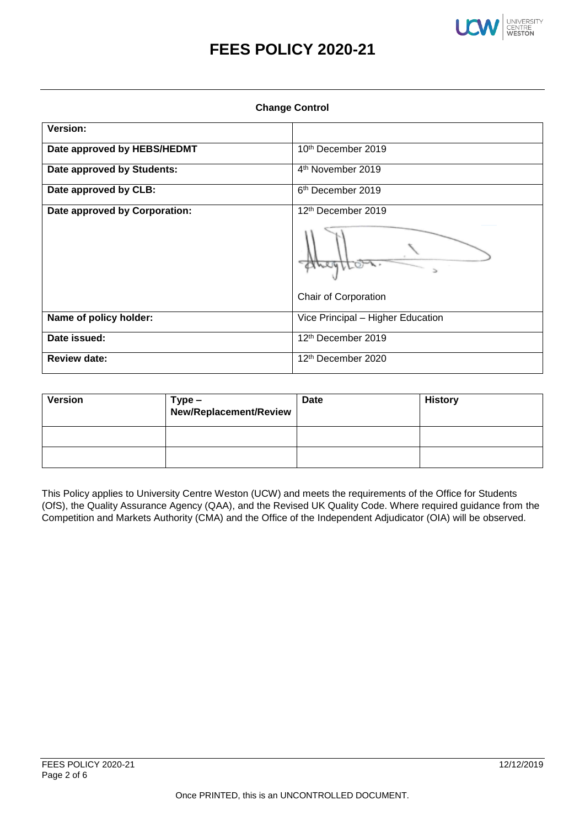

**Change Control**

| <b>Unange Control</b>         |                                   |  |
|-------------------------------|-----------------------------------|--|
| <b>Version:</b>               |                                   |  |
| Date approved by HEBS/HEDMT   | 10th December 2019                |  |
| Date approved by Students:    | 4th November 2019                 |  |
| Date approved by CLB:         | 6 <sup>th</sup> December 2019     |  |
| Date approved by Corporation: | 12 <sup>th</sup> December 2019    |  |
|                               | Ъ                                 |  |
|                               | Chair of Corporation              |  |
| Name of policy holder:        | Vice Principal - Higher Education |  |
| Date issued:                  | 12th December 2019                |  |
| <b>Review date:</b>           | 12 <sup>th</sup> December 2020    |  |

| <b>Version</b> | Type –<br>New/Replacement/Review | <b>Date</b> | <b>History</b> |
|----------------|----------------------------------|-------------|----------------|
|                |                                  |             |                |
|                |                                  |             |                |

This Policy applies to University Centre Weston (UCW) and meets the requirements of the Office for Students (OfS), the Quality Assurance Agency (QAA), and the Revised UK Quality Code. Where required guidance from the Competition and Markets Authority (CMA) and the Office of the Independent Adjudicator (OIA) will be observed.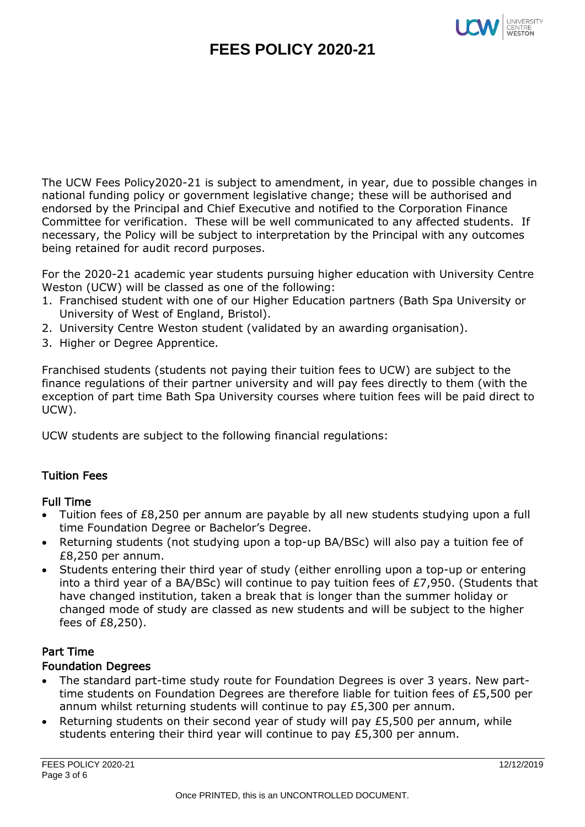

The UCW Fees Policy2020-21 is subject to amendment, in year, due to possible changes in national funding policy or government legislative change; these will be authorised and endorsed by the Principal and Chief Executive and notified to the Corporation Finance Committee for verification. These will be well communicated to any affected students. If necessary, the Policy will be subject to interpretation by the Principal with any outcomes being retained for audit record purposes.

For the 2020-21 academic year students pursuing higher education with University Centre Weston (UCW) will be classed as one of the following:

- 1. Franchised student with one of our Higher Education partners (Bath Spa University or University of West of England, Bristol).
- 2. University Centre Weston student (validated by an awarding organisation).
- 3. Higher or Degree Apprentice.

Franchised students (students not paying their tuition fees to UCW) are subject to the finance regulations of their partner university and will pay fees directly to them (with the exception of part time Bath Spa University courses where tuition fees will be paid direct to UCW).

UCW students are subject to the following financial regulations:

## Tuition Fees

## Full Time

- Tuition fees of £8,250 per annum are payable by all new students studying upon a full time Foundation Degree or Bachelor's Degree.
- Returning students (not studying upon a top-up BA/BSc) will also pay a tuition fee of £8,250 per annum.
- Students entering their third year of study (either enrolling upon a top-up or entering into a third year of a BA/BSc) will continue to pay tuition fees of £7,950. (Students that have changed institution, taken a break that is longer than the summer holiday or changed mode of study are classed as new students and will be subject to the higher fees of £8,250).

#### Part Time Foundation Degrees

- The standard part-time study route for Foundation Degrees is over 3 years. New parttime students on Foundation Degrees are therefore liable for tuition fees of £5,500 per annum whilst returning students will continue to pay £5,300 per annum.
- Returning students on their second year of study will pay £5,500 per annum, while students entering their third year will continue to pay £5,300 per annum.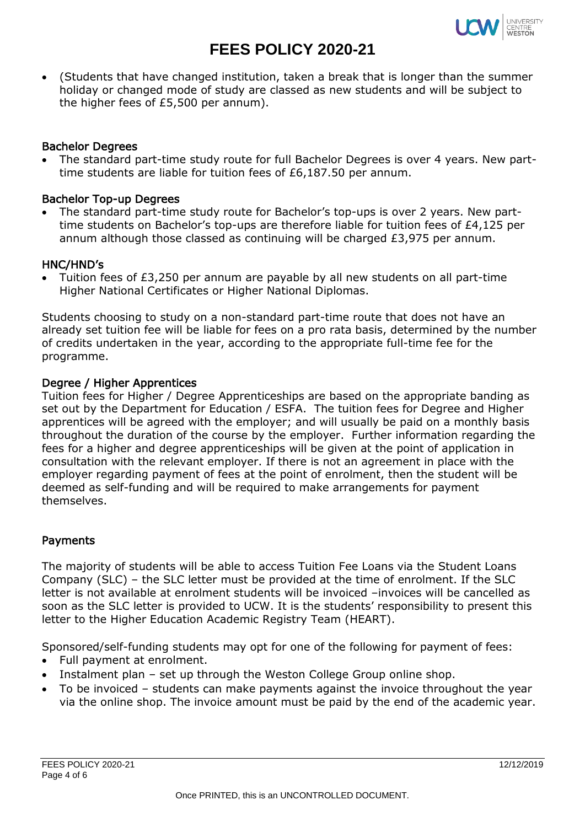

 (Students that have changed institution, taken a break that is longer than the summer holiday or changed mode of study are classed as new students and will be subject to the higher fees of £5,500 per annum).

#### Bachelor Degrees

 The standard part-time study route for full Bachelor Degrees is over 4 years. New parttime students are liable for tuition fees of £6,187.50 per annum.

### Bachelor Top-up Degrees

 The standard part-time study route for Bachelor's top-ups is over 2 years. New parttime students on Bachelor's top-ups are therefore liable for tuition fees of £4,125 per annum although those classed as continuing will be charged £3,975 per annum.

#### HNC/HND's

 Tuition fees of £3,250 per annum are payable by all new students on all part-time Higher National Certificates or Higher National Diplomas.

Students choosing to study on a non-standard part-time route that does not have an already set tuition fee will be liable for fees on a pro rata basis, determined by the number of credits undertaken in the year, according to the appropriate full-time fee for the programme.

#### Degree / Higher Apprentices

Tuition fees for Higher / Degree Apprenticeships are based on the appropriate banding as set out by the Department for Education / ESFA. The tuition fees for Degree and Higher apprentices will be agreed with the employer; and will usually be paid on a monthly basis throughout the duration of the course by the employer. Further information regarding the fees for a higher and degree apprenticeships will be given at the point of application in consultation with the relevant employer. If there is not an agreement in place with the employer regarding payment of fees at the point of enrolment, then the student will be deemed as self-funding and will be required to make arrangements for payment themselves.

## Payments

The majority of students will be able to access Tuition Fee Loans via the Student Loans Company (SLC) – the SLC letter must be provided at the time of enrolment. If the SLC letter is not available at enrolment students will be invoiced –invoices will be cancelled as soon as the SLC letter is provided to UCW. It is the students' responsibility to present this letter to the Higher Education Academic Registry Team (HEART).

Sponsored/self-funding students may opt for one of the following for payment of fees:

- Full payment at enrolment.
- Instalment plan set up through the Weston College Group online shop.
- To be invoiced students can make payments against the invoice throughout the year via the online shop. The invoice amount must be paid by the end of the academic year.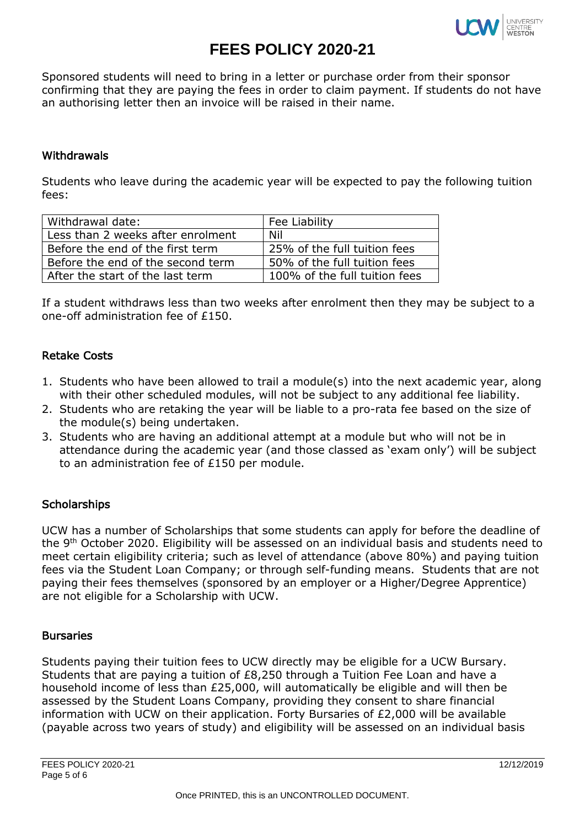

Sponsored students will need to bring in a letter or purchase order from their sponsor confirming that they are paying the fees in order to claim payment. If students do not have an authorising letter then an invoice will be raised in their name.

#### Withdrawals

Students who leave during the academic year will be expected to pay the following tuition fees:

| Withdrawal date:                  | Fee Liability                 |
|-----------------------------------|-------------------------------|
| Less than 2 weeks after enrolment | Nil                           |
| Before the end of the first term  | 25% of the full tuition fees  |
| Before the end of the second term | 50% of the full tuition fees  |
| After the start of the last term  | 100% of the full tuition fees |

If a student withdraws less than two weeks after enrolment then they may be subject to a one-off administration fee of £150.

#### Retake Costs

- 1. Students who have been allowed to trail a module(s) into the next academic year, along with their other scheduled modules, will not be subject to any additional fee liability.
- 2. Students who are retaking the year will be liable to a pro-rata fee based on the size of the module(s) being undertaken.
- 3. Students who are having an additional attempt at a module but who will not be in attendance during the academic year (and those classed as 'exam only') will be subject to an administration fee of £150 per module.

## **Scholarships**

UCW has a number of Scholarships that some students can apply for before the deadline of the 9th October 2020. Eligibility will be assessed on an individual basis and students need to meet certain eligibility criteria; such as level of attendance (above 80%) and paying tuition fees via the Student Loan Company; or through self-funding means. Students that are not paying their fees themselves (sponsored by an employer or a Higher/Degree Apprentice) are not eligible for a Scholarship with UCW.

#### **Bursaries**

Students paying their tuition fees to UCW directly may be eligible for a UCW Bursary. Students that are paying a tuition of £8,250 through a Tuition Fee Loan and have a household income of less than £25,000, will automatically be eligible and will then be assessed by the Student Loans Company, providing they consent to share financial information with UCW on their application. Forty Bursaries of £2,000 will be available (payable across two years of study) and eligibility will be assessed on an individual basis